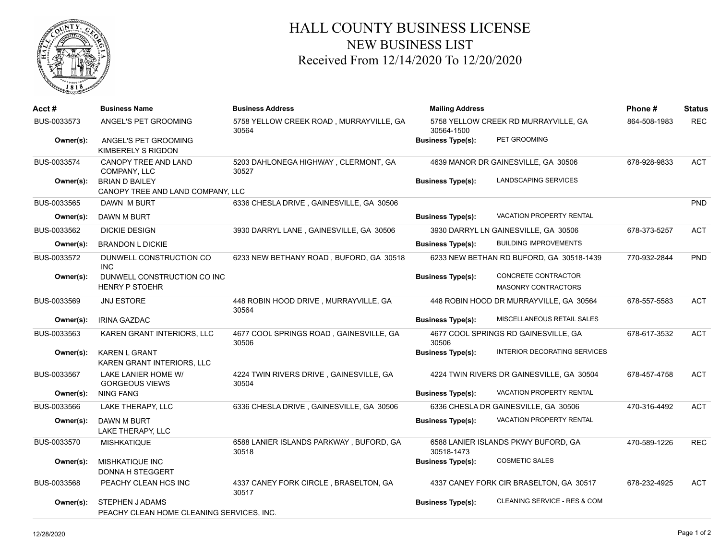

## HALL COUNTY BUSINESS LICENSE NEW BUSINESS LIST Received From 12/14/2020 To 12/20/2020

| Acct #      | <b>Business Name</b>                                        | <b>Business Address</b>                          | <b>Mailing Address</b>   |                                                   | Phone#       | <b>Status</b> |
|-------------|-------------------------------------------------------------|--------------------------------------------------|--------------------------|---------------------------------------------------|--------------|---------------|
| BUS-0033573 | ANGEL'S PET GROOMING                                        | 5758 YELLOW CREEK ROAD, MURRAYVILLE, GA<br>30564 | 30564-1500               | 5758 YELLOW CREEK RD MURRAYVILLE, GA              | 864-508-1983 | <b>REC</b>    |
| Owner(s):   | ANGEL'S PET GROOMING<br>KIMBERELY S RIGDON                  |                                                  | <b>Business Type(s):</b> | PET GROOMING                                      |              |               |
| BUS-0033574 | <b>CANOPY TREE AND LAND</b><br>COMPANY, LLC                 | 5203 DAHLONEGA HIGHWAY, CLERMONT, GA<br>30527    |                          | 4639 MANOR DR GAINESVILLE, GA 30506               | 678-928-9833 | <b>ACT</b>    |
| Owner(s):   | <b>BRIAN D BAILEY</b><br>CANOPY TREE AND LAND COMPANY. LLC  |                                                  | <b>Business Type(s):</b> | LANDSCAPING SERVICES                              |              |               |
| BUS-0033565 | DAWN M BURT                                                 | 6336 CHESLA DRIVE, GAINESVILLE, GA 30506         |                          |                                                   |              | <b>PND</b>    |
| Owner(s):   | DAWN M BURT                                                 |                                                  | <b>Business Type(s):</b> | <b>VACATION PROPERTY RENTAL</b>                   |              |               |
| BUS-0033562 | <b>DICKIE DESIGN</b>                                        | 3930 DARRYL LANE, GAINESVILLE, GA 30506          |                          | 3930 DARRYL LN GAINESVILLE, GA 30506              | 678-373-5257 | <b>ACT</b>    |
| Owner(s):   | <b>BRANDON L DICKIE</b>                                     |                                                  | <b>Business Type(s):</b> | <b>BUILDING IMPROVEMENTS</b>                      |              |               |
| BUS-0033572 | DUNWELL CONSTRUCTION CO<br><b>INC</b>                       | 6233 NEW BETHANY ROAD, BUFORD, GA 30518          |                          | 6233 NEW BETHAN RD BUFORD, GA 30518-1439          | 770-932-2844 | PND           |
| Owner(s):   | DUNWELL CONSTRUCTION CO INC<br><b>HENRY P STOEHR</b>        |                                                  | <b>Business Type(s):</b> | CONCRETE CONTRACTOR<br><b>MASONRY CONTRACTORS</b> |              |               |
| BUS-0033569 | <b>JNJ ESTORE</b>                                           | 448 ROBIN HOOD DRIVE, MURRAYVILLE, GA<br>30564   |                          | 448 ROBIN HOOD DR MURRAYVILLE, GA 30564           | 678-557-5583 | <b>ACT</b>    |
| Owner(s):   | <b>IRINA GAZDAC</b>                                         |                                                  | <b>Business Type(s):</b> | MISCELLANEOUS RETAIL SALES                        |              |               |
| BUS-0033563 | KAREN GRANT INTERIORS, LLC                                  | 4677 COOL SPRINGS ROAD, GAINESVILLE, GA<br>30506 | 30506                    | 4677 COOL SPRINGS RD GAINESVILLE, GA              | 678-617-3532 | <b>ACT</b>    |
| Owner(s):   | KAREN L GRANT<br>KAREN GRANT INTERIORS, LLC                 |                                                  | <b>Business Type(s):</b> | INTERIOR DECORATING SERVICES                      |              |               |
| BUS-0033567 | LAKE LANIER HOME W/<br><b>GORGEOUS VIEWS</b>                | 4224 TWIN RIVERS DRIVE, GAINESVILLE, GA<br>30504 |                          | 4224 TWIN RIVERS DR GAINESVILLE, GA 30504         | 678-457-4758 | <b>ACT</b>    |
| Owner(s):   | <b>NING FANG</b>                                            |                                                  | <b>Business Type(s):</b> | <b>VACATION PROPERTY RENTAL</b>                   |              |               |
| BUS-0033566 | <b>LAKE THERAPY, LLC</b>                                    | 6336 CHESLA DRIVE, GAINESVILLE, GA 30506         |                          | 6336 CHESLA DR GAINESVILLE, GA 30506              | 470-316-4492 | <b>ACT</b>    |
| Owner(s):   | DAWN M BURT<br>LAKE THERAPY, LLC                            |                                                  | <b>Business Type(s):</b> | <b>VACATION PROPERTY RENTAL</b>                   |              |               |
| BUS-0033570 | <b>MISHKATIQUE</b>                                          | 6588 LANIER ISLANDS PARKWAY, BUFORD, GA<br>30518 | 30518-1473               | 6588 LANIER ISLANDS PKWY BUFORD, GA               | 470-589-1226 | <b>REC</b>    |
| Owner(s):   | <b>MISHKATIQUE INC</b><br><b>DONNA H STEGGERT</b>           |                                                  | <b>Business Type(s):</b> | <b>COSMETIC SALES</b>                             |              |               |
| BUS-0033568 | PEACHY CLEAN HCS INC                                        | 4337 CANEY FORK CIRCLE, BRASELTON, GA<br>30517   |                          | 4337 CANEY FORK CIR BRASELTON, GA 30517           | 678-232-4925 | <b>ACT</b>    |
| Owner(s):   | STEPHEN JADAMS<br>PEACHY CLEAN HOME CLEANING SERVICES. INC. |                                                  | <b>Business Type(s):</b> | CLEANING SERVICE - RES & COM                      |              |               |